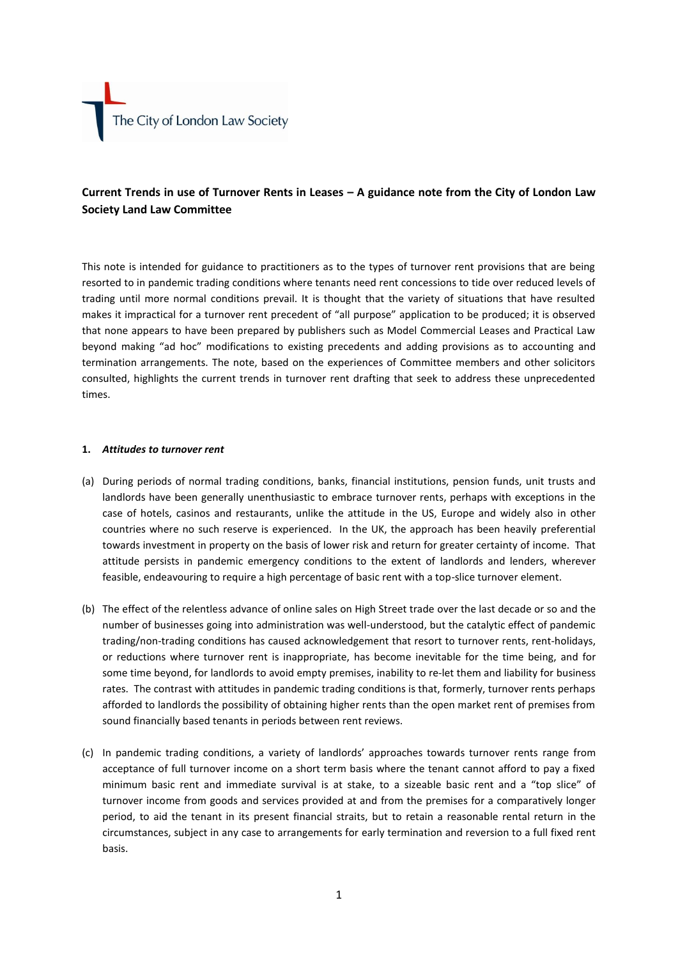# **Current Trends in use of Turnover Rents in Leases – A guidance note from the City of London Law Society Land Law Committee**

This note is intended for guidance to practitioners as to the types of turnover rent provisions that are being resorted to in pandemic trading conditions where tenants need rent concessions to tide over reduced levels of trading until more normal conditions prevail. It is thought that the variety of situations that have resulted makes it impractical for a turnover rent precedent of "all purpose" application to be produced; it is observed that none appears to have been prepared by publishers such as Model Commercial Leases and Practical Law beyond making "ad hoc" modifications to existing precedents and adding provisions as to accounting and termination arrangements. The note, based on the experiences of Committee members and other solicitors consulted, highlights the current trends in turnover rent drafting that seek to address these unprecedented times.

# **1.** *Attitudes to turnover rent*

- (a) During periods of normal trading conditions, banks, financial institutions, pension funds, unit trusts and landlords have been generally unenthusiastic to embrace turnover rents, perhaps with exceptions in the case of hotels, casinos and restaurants, unlike the attitude in the US, Europe and widely also in other countries where no such reserve is experienced. In the UK, the approach has been heavily preferential towards investment in property on the basis of lower risk and return for greater certainty of income. That attitude persists in pandemic emergency conditions to the extent of landlords and lenders, wherever feasible, endeavouring to require a high percentage of basic rent with a top-slice turnover element.
- (b) The effect of the relentless advance of online sales on High Street trade over the last decade or so and the number of businesses going into administration was well-understood, but the catalytic effect of pandemic trading/non-trading conditions has caused acknowledgement that resort to turnover rents, rent-holidays, or reductions where turnover rent is inappropriate, has become inevitable for the time being, and for some time beyond, for landlords to avoid empty premises, inability to re-let them and liability for business rates. The contrast with attitudes in pandemic trading conditions is that, formerly, turnover rents perhaps afforded to landlords the possibility of obtaining higher rents than the open market rent of premises from sound financially based tenants in periods between rent reviews.
- (c) In pandemic trading conditions, a variety of landlords' approaches towards turnover rents range from acceptance of full turnover income on a short term basis where the tenant cannot afford to pay a fixed minimum basic rent and immediate survival is at stake, to a sizeable basic rent and a "top slice" of turnover income from goods and services provided at and from the premises for a comparatively longer period, to aid the tenant in its present financial straits, but to retain a reasonable rental return in the circumstances, subject in any case to arrangements for early termination and reversion to a full fixed rent basis.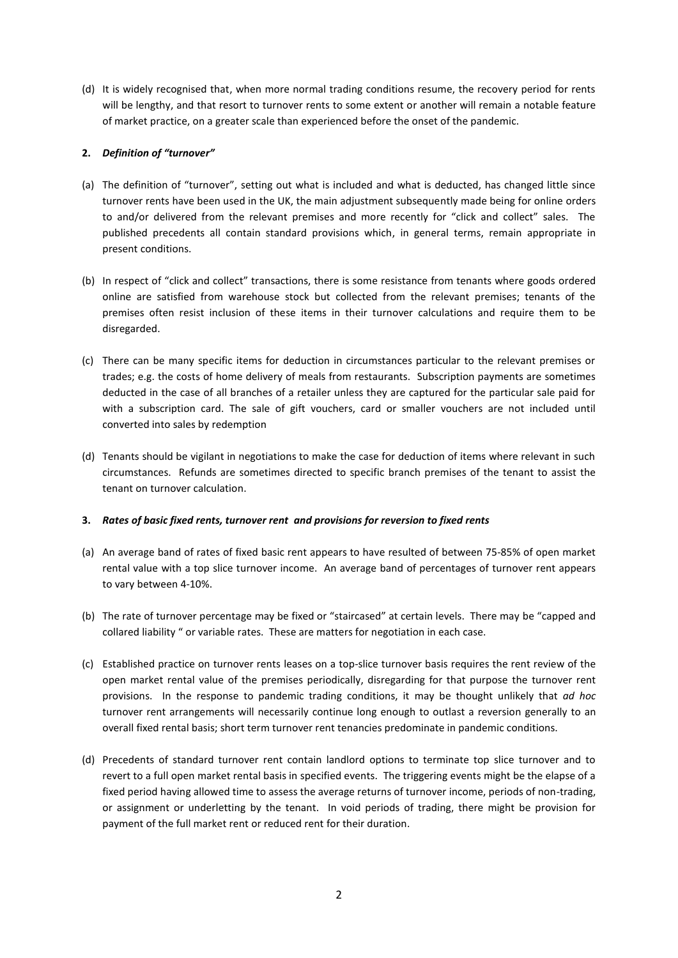(d) It is widely recognised that, when more normal trading conditions resume, the recovery period for rents will be lengthy, and that resort to turnover rents to some extent or another will remain a notable feature of market practice, on a greater scale than experienced before the onset of the pandemic.

# **2.** *Definition of "turnover"*

- (a) The definition of "turnover", setting out what is included and what is deducted, has changed little since turnover rents have been used in the UK, the main adjustment subsequently made being for online orders to and/or delivered from the relevant premises and more recently for "click and collect" sales. The published precedents all contain standard provisions which, in general terms, remain appropriate in present conditions.
- (b) In respect of "click and collect" transactions, there is some resistance from tenants where goods ordered online are satisfied from warehouse stock but collected from the relevant premises; tenants of the premises often resist inclusion of these items in their turnover calculations and require them to be disregarded.
- (c) There can be many specific items for deduction in circumstances particular to the relevant premises or trades; e.g. the costs of home delivery of meals from restaurants. Subscription payments are sometimes deducted in the case of all branches of a retailer unless they are captured for the particular sale paid for with a subscription card. The sale of gift vouchers, card or smaller vouchers are not included until converted into sales by redemption
- (d) Tenants should be vigilant in negotiations to make the case for deduction of items where relevant in such circumstances. Refunds are sometimes directed to specific branch premises of the tenant to assist the tenant on turnover calculation.

# **3.** *Rates of basic fixed rents, turnover rent and provisions for reversion to fixed rents*

- (a) An average band of rates of fixed basic rent appears to have resulted of between 75-85% of open market rental value with a top slice turnover income. An average band of percentages of turnover rent appears to vary between 4-10%.
- (b) The rate of turnover percentage may be fixed or "staircased" at certain levels. There may be "capped and collared liability " or variable rates. These are matters for negotiation in each case.
- (c) Established practice on turnover rents leases on a top-slice turnover basis requires the rent review of the open market rental value of the premises periodically, disregarding for that purpose the turnover rent provisions. In the response to pandemic trading conditions, it may be thought unlikely that *ad hoc* turnover rent arrangements will necessarily continue long enough to outlast a reversion generally to an overall fixed rental basis; short term turnover rent tenancies predominate in pandemic conditions.
- (d) Precedents of standard turnover rent contain landlord options to terminate top slice turnover and to revert to a full open market rental basis in specified events. The triggering events might be the elapse of a fixed period having allowed time to assess the average returns of turnover income, periods of non-trading, or assignment or underletting by the tenant. In void periods of trading, there might be provision for payment of the full market rent or reduced rent for their duration.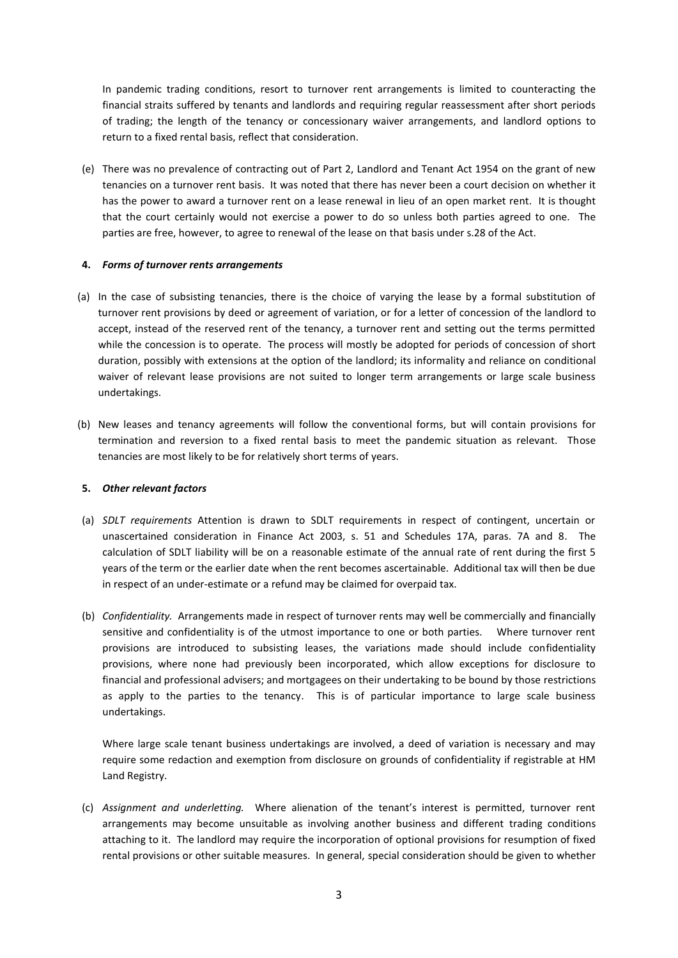In pandemic trading conditions, resort to turnover rent arrangements is limited to counteracting the financial straits suffered by tenants and landlords and requiring regular reassessment after short periods of trading; the length of the tenancy or concessionary waiver arrangements, and landlord options to return to a fixed rental basis, reflect that consideration.

(e) There was no prevalence of contracting out of Part 2, Landlord and Tenant Act 1954 on the grant of new tenancies on a turnover rent basis. It was noted that there has never been a court decision on whether it has the power to award a turnover rent on a lease renewal in lieu of an open market rent. It is thought that the court certainly would not exercise a power to do so unless both parties agreed to one. The parties are free, however, to agree to renewal of the lease on that basis under s.28 of the Act.

#### **4.** *Forms of turnover rents arrangements*

- (a) In the case of subsisting tenancies, there is the choice of varying the lease by a formal substitution of turnover rent provisions by deed or agreement of variation, or for a letter of concession of the landlord to accept, instead of the reserved rent of the tenancy, a turnover rent and setting out the terms permitted while the concession is to operate. The process will mostly be adopted for periods of concession of short duration, possibly with extensions at the option of the landlord; its informality and reliance on conditional waiver of relevant lease provisions are not suited to longer term arrangements or large scale business undertakings.
- (b) New leases and tenancy agreements will follow the conventional forms, but will contain provisions for termination and reversion to a fixed rental basis to meet the pandemic situation as relevant. Those tenancies are most likely to be for relatively short terms of years.

# **5.** *Other relevant factors*

- (a) *SDLT requirements* Attention is drawn to SDLT requirements in respect of contingent, uncertain or unascertained consideration in Finance Act 2003, s. 51 and Schedules 17A, paras. 7A and 8. The calculation of SDLT liability will be on a reasonable estimate of the annual rate of rent during the first 5 years of the term or the earlier date when the rent becomes ascertainable. Additional tax will then be due in respect of an under-estimate or a refund may be claimed for overpaid tax.
- (b) *Confidentiality.* Arrangements made in respect of turnover rents may well be commercially and financially sensitive and confidentiality is of the utmost importance to one or both parties. Where turnover rent provisions are introduced to subsisting leases, the variations made should include confidentiality provisions, where none had previously been incorporated, which allow exceptions for disclosure to financial and professional advisers; and mortgagees on their undertaking to be bound by those restrictions as apply to the parties to the tenancy. This is of particular importance to large scale business undertakings.

Where large scale tenant business undertakings are involved, a deed of variation is necessary and may require some redaction and exemption from disclosure on grounds of confidentiality if registrable at HM Land Registry.

(c) *Assignment and underletting.* Where alienation of the tenant's interest is permitted, turnover rent arrangements may become unsuitable as involving another business and different trading conditions attaching to it. The landlord may require the incorporation of optional provisions for resumption of fixed rental provisions or other suitable measures. In general, special consideration should be given to whether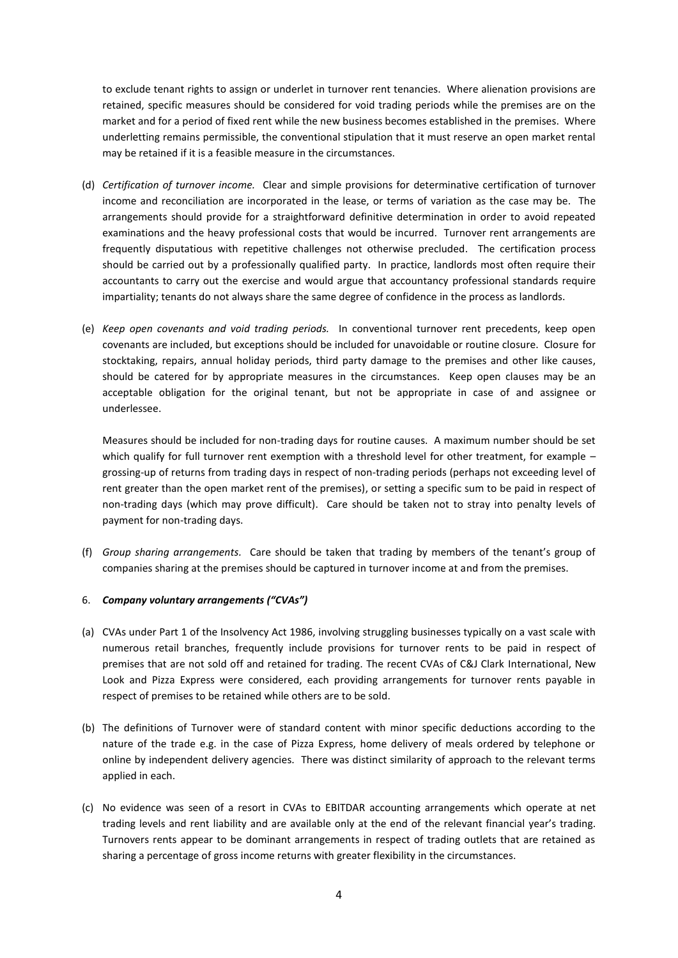to exclude tenant rights to assign or underlet in turnover rent tenancies. Where alienation provisions are retained, specific measures should be considered for void trading periods while the premises are on the market and for a period of fixed rent while the new business becomes established in the premises. Where underletting remains permissible, the conventional stipulation that it must reserve an open market rental may be retained if it is a feasible measure in the circumstances.

- (d) *Certification of turnover income.* Clear and simple provisions for determinative certification of turnover income and reconciliation are incorporated in the lease, or terms of variation as the case may be. The arrangements should provide for a straightforward definitive determination in order to avoid repeated examinations and the heavy professional costs that would be incurred. Turnover rent arrangements are frequently disputatious with repetitive challenges not otherwise precluded. The certification process should be carried out by a professionally qualified party. In practice, landlords most often require their accountants to carry out the exercise and would argue that accountancy professional standards require impartiality; tenants do not always share the same degree of confidence in the process as landlords.
- (e) *Keep open covenants and void trading periods.* In conventional turnover rent precedents, keep open covenants are included, but exceptions should be included for unavoidable or routine closure. Closure for stocktaking, repairs, annual holiday periods, third party damage to the premises and other like causes, should be catered for by appropriate measures in the circumstances. Keep open clauses may be an acceptable obligation for the original tenant, but not be appropriate in case of and assignee or underlessee.

Measures should be included for non-trading days for routine causes. A maximum number should be set which qualify for full turnover rent exemption with a threshold level for other treatment, for example  $$ grossing-up of returns from trading days in respect of non-trading periods (perhaps not exceeding level of rent greater than the open market rent of the premises), or setting a specific sum to be paid in respect of non-trading days (which may prove difficult). Care should be taken not to stray into penalty levels of payment for non-trading days.

(f) *Group sharing arrangements.* Care should be taken that trading by members of the tenant's group of companies sharing at the premises should be captured in turnover income at and from the premises.

# 6. *Company voluntary arrangements ("CVAs")*

- (a) CVAs under Part 1 of the Insolvency Act 1986, involving struggling businesses typically on a vast scale with numerous retail branches, frequently include provisions for turnover rents to be paid in respect of premises that are not sold off and retained for trading. The recent CVAs of C&J Clark International, New Look and Pizza Express were considered, each providing arrangements for turnover rents payable in respect of premises to be retained while others are to be sold.
- (b) The definitions of Turnover were of standard content with minor specific deductions according to the nature of the trade e.g. in the case of Pizza Express, home delivery of meals ordered by telephone or online by independent delivery agencies. There was distinct similarity of approach to the relevant terms applied in each.
- (c) No evidence was seen of a resort in CVAs to EBITDAR accounting arrangements which operate at net trading levels and rent liability and are available only at the end of the relevant financial year's trading. Turnovers rents appear to be dominant arrangements in respect of trading outlets that are retained as sharing a percentage of gross income returns with greater flexibility in the circumstances.